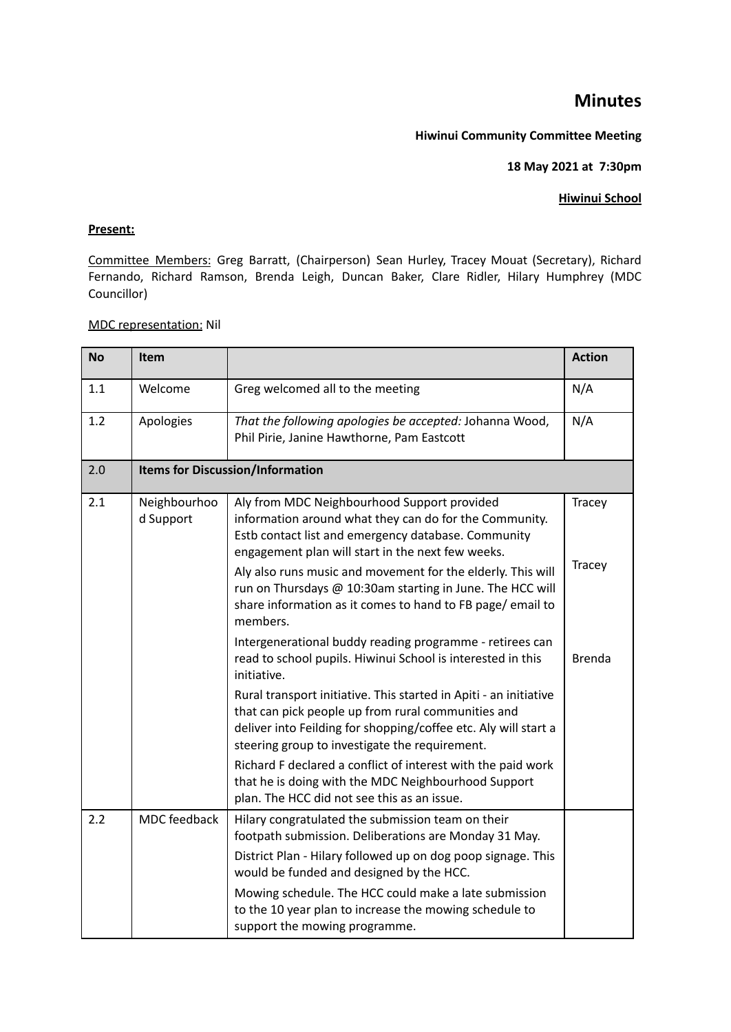# **Minutes**

#### **Hiwinui Community Committee Meeting**

### **18 May 2021 at 7:30pm**

### **Hiwinui School**

## **Present:**

Committee Members: Greg Barratt, (Chairperson) Sean Hurley, Tracey Mouat (Secretary), Richard Fernando, Richard Ramson, Brenda Leigh, Duncan Baker, Clare Ridler, Hilary Humphrey (MDC Councillor)

#### MDC representation: Nil

| <b>No</b> | Item                      |                                                                                                                                                                                                                                              | <b>Action</b> |  |
|-----------|---------------------------|----------------------------------------------------------------------------------------------------------------------------------------------------------------------------------------------------------------------------------------------|---------------|--|
| 1.1       | Welcome                   | Greg welcomed all to the meeting                                                                                                                                                                                                             | N/A           |  |
| 1.2       | Apologies                 | That the following apologies be accepted: Johanna Wood,<br>Phil Pirie, Janine Hawthorne, Pam Eastcott                                                                                                                                        | N/A           |  |
| 2.0       |                           | <b>Items for Discussion/Information</b>                                                                                                                                                                                                      |               |  |
| 2.1       | Neighbourhoo<br>d Support | Aly from MDC Neighbourhood Support provided<br>information around what they can do for the Community.<br>Estb contact list and emergency database. Community<br>engagement plan will start in the next few weeks.                            | Tracey        |  |
|           |                           | Aly also runs music and movement for the elderly. This will<br>run on Thursdays @ 10:30am starting in June. The HCC will<br>share information as it comes to hand to FB page/ email to<br>members.                                           | Tracey        |  |
|           |                           | Intergenerational buddy reading programme - retirees can<br>read to school pupils. Hiwinui School is interested in this<br>initiative.                                                                                                       | Brenda        |  |
|           |                           | Rural transport initiative. This started in Apiti - an initiative<br>that can pick people up from rural communities and<br>deliver into Feilding for shopping/coffee etc. Aly will start a<br>steering group to investigate the requirement. |               |  |
|           |                           | Richard F declared a conflict of interest with the paid work<br>that he is doing with the MDC Neighbourhood Support<br>plan. The HCC did not see this as an issue.                                                                           |               |  |
| 2.2       | <b>MDC</b> feedback       | Hilary congratulated the submission team on their<br>footpath submission. Deliberations are Monday 31 May.                                                                                                                                   |               |  |
|           |                           | District Plan - Hilary followed up on dog poop signage. This<br>would be funded and designed by the HCC.                                                                                                                                     |               |  |
|           |                           | Mowing schedule. The HCC could make a late submission<br>to the 10 year plan to increase the mowing schedule to<br>support the mowing programme.                                                                                             |               |  |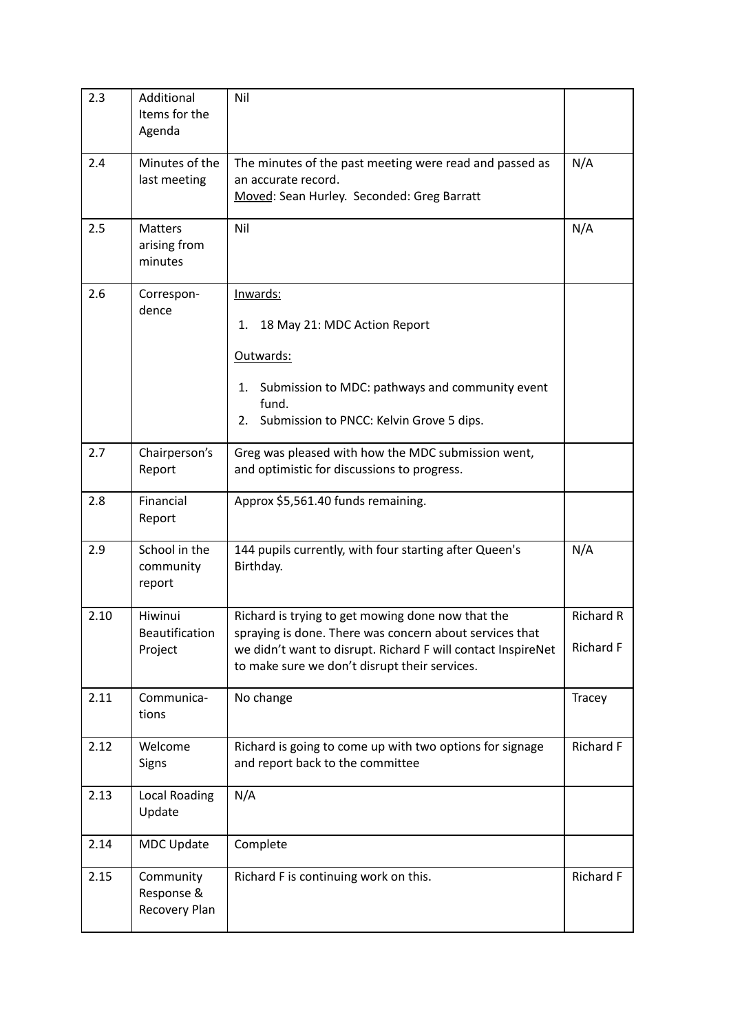| 2.3  | Additional<br>Items for the<br>Agenda       | Nil                                                                                                                                                                                                                           |                                      |
|------|---------------------------------------------|-------------------------------------------------------------------------------------------------------------------------------------------------------------------------------------------------------------------------------|--------------------------------------|
| 2.4  | Minutes of the<br>last meeting              | The minutes of the past meeting were read and passed as<br>an accurate record.<br>Moved: Sean Hurley. Seconded: Greg Barratt                                                                                                  | N/A                                  |
| 2.5  | <b>Matters</b><br>arising from<br>minutes   | Nil                                                                                                                                                                                                                           | N/A                                  |
| 2.6  | Correspon-<br>dence                         | Inwards:<br>18 May 21: MDC Action Report<br>1.<br>Outwards:<br>Submission to MDC: pathways and community event<br>1.<br>fund.<br>2. Submission to PNCC: Kelvin Grove 5 dips.                                                  |                                      |
| 2.7  | Chairperson's<br>Report                     | Greg was pleased with how the MDC submission went,<br>and optimistic for discussions to progress.                                                                                                                             |                                      |
| 2.8  | Financial<br>Report                         | Approx \$5,561.40 funds remaining.                                                                                                                                                                                            |                                      |
| 2.9  | School in the<br>community<br>report        | 144 pupils currently, with four starting after Queen's<br>Birthday.                                                                                                                                                           | N/A                                  |
| 2.10 | Hiwinui<br><b>Beautification</b><br>Project | Richard is trying to get mowing done now that the<br>spraying is done. There was concern about services that<br>we didn't want to disrupt. Richard F will contact InspireNet<br>to make sure we don't disrupt their services. | <b>Richard R</b><br><b>Richard F</b> |
| 2.11 | Communica-<br>tions                         | No change                                                                                                                                                                                                                     | Tracey                               |
| 2.12 | Welcome<br>Signs                            | Richard is going to come up with two options for signage<br>and report back to the committee                                                                                                                                  | <b>Richard F</b>                     |
| 2.13 | Local Roading<br>Update                     | N/A                                                                                                                                                                                                                           |                                      |
| 2.14 | <b>MDC Update</b>                           | Complete                                                                                                                                                                                                                      |                                      |
| 2.15 | Community<br>Response &<br>Recovery Plan    | Richard F is continuing work on this.                                                                                                                                                                                         | Richard F                            |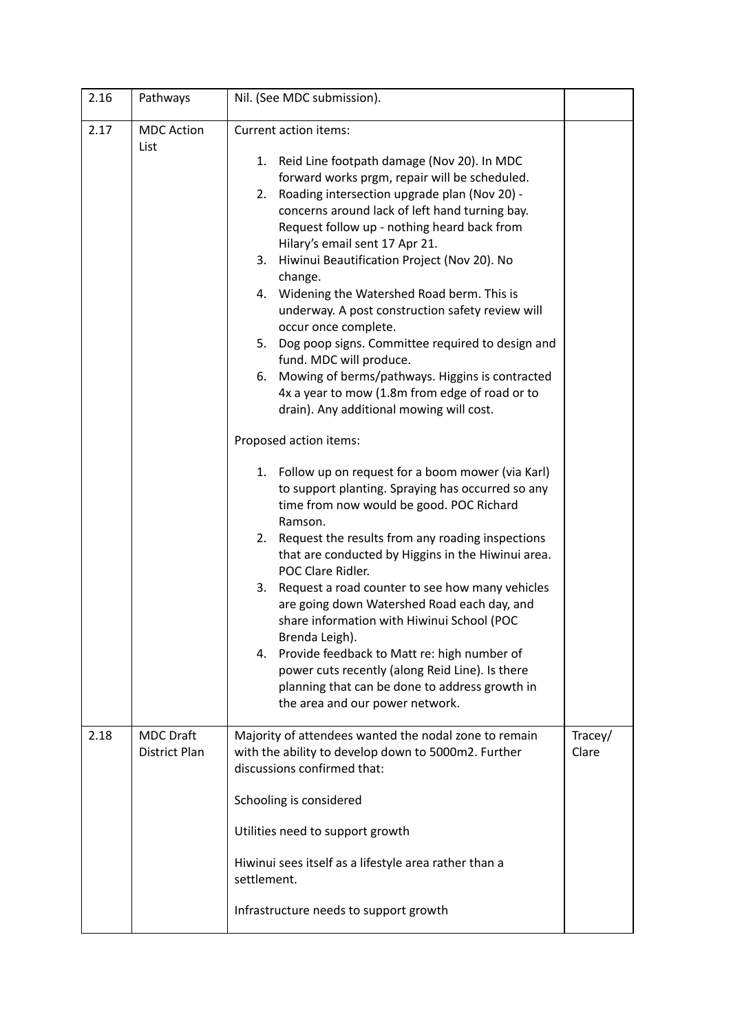| 2.16 | Pathways                          | Nil. (See MDC submission).                                                                                                                                                                                                                                                                                                                                                                                                                                                                                                                                                                                                                                                                                                                                                                                                                                                                                                                                                                                                                                                                                                                                                                                                                                                                                                                                                                                                                                   |                  |
|------|-----------------------------------|--------------------------------------------------------------------------------------------------------------------------------------------------------------------------------------------------------------------------------------------------------------------------------------------------------------------------------------------------------------------------------------------------------------------------------------------------------------------------------------------------------------------------------------------------------------------------------------------------------------------------------------------------------------------------------------------------------------------------------------------------------------------------------------------------------------------------------------------------------------------------------------------------------------------------------------------------------------------------------------------------------------------------------------------------------------------------------------------------------------------------------------------------------------------------------------------------------------------------------------------------------------------------------------------------------------------------------------------------------------------------------------------------------------------------------------------------------------|------------------|
| 2.17 | <b>MDC Action</b><br>List         | Current action items:<br>1. Reid Line footpath damage (Nov 20). In MDC<br>forward works prgm, repair will be scheduled.<br>Roading intersection upgrade plan (Nov 20) -<br>2.<br>concerns around lack of left hand turning bay.<br>Request follow up - nothing heard back from<br>Hilary's email sent 17 Apr 21.<br>Hiwinui Beautification Project (Nov 20). No<br>3.<br>change.<br>4. Widening the Watershed Road berm. This is<br>underway. A post construction safety review will<br>occur once complete.<br>Dog poop signs. Committee required to design and<br>5.<br>fund. MDC will produce.<br>Mowing of berms/pathways. Higgins is contracted<br>6.<br>4x a year to mow (1.8m from edge of road or to<br>drain). Any additional mowing will cost.<br>Proposed action items:<br>1. Follow up on request for a boom mower (via Karl)<br>to support planting. Spraying has occurred so any<br>time from now would be good. POC Richard<br>Ramson.<br>Request the results from any roading inspections<br>2.<br>that are conducted by Higgins in the Hiwinui area.<br>POC Clare Ridler.<br>Request a road counter to see how many vehicles<br>3.<br>are going down Watershed Road each day, and<br>share information with Hiwinui School (POC<br>Brenda Leigh).<br>4. Provide feedback to Matt re: high number of<br>power cuts recently (along Reid Line). Is there<br>planning that can be done to address growth in<br>the area and our power network. |                  |
| 2.18 | <b>MDC Draft</b><br>District Plan | Majority of attendees wanted the nodal zone to remain<br>with the ability to develop down to 5000m2. Further<br>discussions confirmed that:<br>Schooling is considered<br>Utilities need to support growth<br>Hiwinui sees itself as a lifestyle area rather than a<br>settlement.<br>Infrastructure needs to support growth                                                                                                                                                                                                                                                                                                                                                                                                                                                                                                                                                                                                                                                                                                                                                                                                                                                                                                                                                                                                                                                                                                                                 | Tracey/<br>Clare |